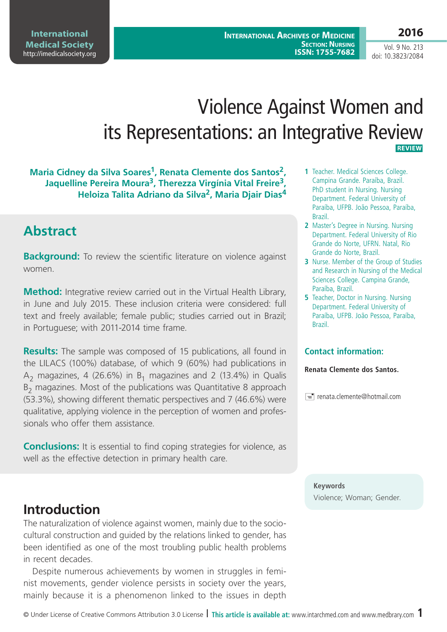# Violence Against Women and its Representations: an Integrative Review  **REVIEW**

**Maria Cidney da Silva Soares1, Renata Clemente dos Santos2, Jaquelline Pereira Moura3, Therezza Virgínia Vital Freire3, Heloiza Talita Adriano da Silva2, Maria Djair Dias4**

# **Abstract**

**Background:** To review the scientific literature on violence against women.

**Method:** Integrative review carried out in the Virtual Health Library, in June and July 2015. These inclusion criteria were considered: full text and freely available; female public; studies carried out in Brazil; in Portuguese; with 2011-2014 time frame.

**Results:** The sample was composed of 15 publications, all found in the LILACS (100%) database, of which 9 (60%) had publications in  $A_2$  magazines, 4 (26.6%) in B<sub>1</sub> magazines and 2 (13.4%) in Qualis  $B<sub>2</sub>$  magazines. Most of the publications was Quantitative 8 approach (53.3%), showing different thematic perspectives and 7 (46.6%) were qualitative, applying violence in the perception of women and professionals who offer them assistance.

**Conclusions:** It is essential to find coping strategies for violence, as well as the effective detection in primary health care.

### **Introduction**

The naturalization of violence against women, mainly due to the sociocultural construction and guided by the relations linked to gender, has been identified as one of the most troubling public health problems in recent decades.

Despite numerous achievements by women in struggles in feminist movements, gender violence persists in society over the years, mainly because it is a phenomenon linked to the issues in depth

- **1** Teacher. Medical Sciences College. Campina Grande. Paraíba, Brazil. PhD student in Nursing. Nursing Department. Federal University of Paraíba, UFPB. João Pessoa, Paraíba, Brazil.
- **2** Master's Degree in Nursing. Nursing Department. Federal University of Rio Grande do Norte, UFRN. Natal, Rio Grande do Norte, Brazil.
- **3** Nurse. Member of the Group of Studies and Research in Nursing of the Medical Sciences College. Campina Grande, Paraíba, Brazil.
- **5** Teacher, Doctor in Nursing. Nursing Department. Federal University of Paraíba, UFPB. João Pessoa, Paraíba, Brazil.

#### **Contact information:**

**Renata Clemente dos Santos.**

 $\equiv$  renata.clemente@hotmail.com

**Keywords** Violence; Woman; Gender.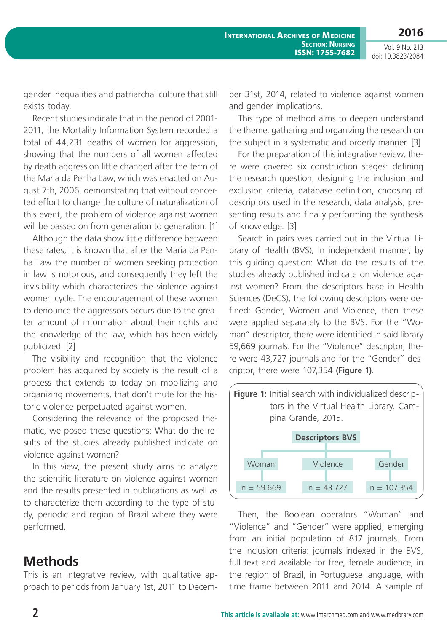**2016**

gender inequalities and patriarchal culture that still exists today.

Recent studies indicate that in the period of 2001- 2011, the Mortality Information System recorded a total of 44,231 deaths of women for aggression, showing that the numbers of all women affected by death aggression little changed after the term of the Maria da Penha Law, which was enacted on August 7th, 2006, demonstrating that without concerted effort to change the culture of naturalization of this event, the problem of violence against women will be passed on from generation to generation. [1]

Although the data show little difference between these rates, it is known that after the Maria da Penha Law the number of women seeking protection in law is notorious, and consequently they left the invisibility which characterizes the violence against women cycle. The encouragement of these women to denounce the aggressors occurs due to the greater amount of information about their rights and the knowledge of the law, which has been widely publicized. [2]

The visibility and recognition that the violence problem has acquired by society is the result of a process that extends to today on mobilizing and organizing movements, that don't mute for the historic violence perpetuated against women.

Considering the relevance of the proposed thematic, we posed these questions: What do the results of the studies already published indicate on violence against women?

In this view, the present study aims to analyze the scientific literature on violence against women and the results presented in publications as well as to characterize them according to the type of study, periodic and region of Brazil where they were performed.

### **Methods**

This is an integrative review, with qualitative approach to periods from January 1st, 2011 to December 31st, 2014, related to violence against women and gender implications.

This type of method aims to deepen understand the theme, gathering and organizing the research on the subject in a systematic and orderly manner. [3]

For the preparation of this integrative review, there were covered six construction stages: defining the research question, designing the inclusion and exclusion criteria, database definition, choosing of descriptors used in the research, data analysis, presenting results and finally performing the synthesis of knowledge. [3]

Search in pairs was carried out in the Virtual Library of Health (BVS), in independent manner, by this guiding question: What do the results of the studies already published indicate on violence against women? From the descriptors base in Health Sciences (DeCS), the following descriptors were defined: Gender, Women and Violence, then these were applied separately to the BVS. For the "Woman" descriptor, there were identified in said library 59,669 journals. For the "Violence" descriptor, there were 43,727 journals and for the "Gender" descriptor, there were 107,354 **(Figure 1)**.



Then, the Boolean operators "Woman" and "Violence" and "Gender" were applied, emerging from an initial population of 817 journals. From the inclusion criteria: journals indexed in the BVS, full text and available for free, female audience, in the region of Brazil, in Portuguese language, with time frame between 2011 and 2014. A sample of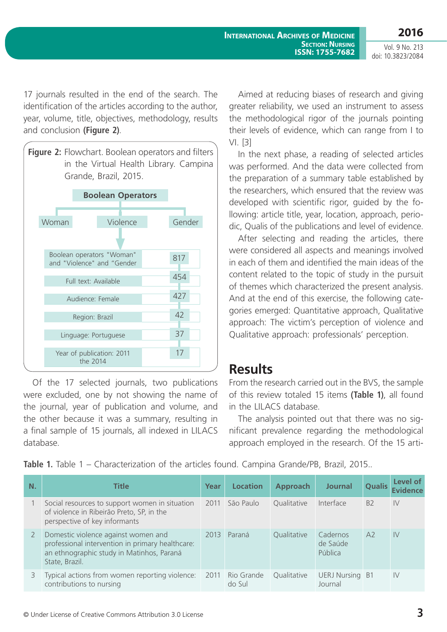**International Archives of Medicine SECTION: NURSING ISSN: 1755-7682**

**2016** Vol. 9 No. 213

doi: 10.3823/2084

17 journals resulted in the end of the search. The identification of the articles according to the author, year, volume, title, objectives, methodology, results and conclusion **(Figure 2)**.



Of the 17 selected journals, two publications were excluded, one by not showing the name of the journal, year of publication and volume, and the other because it was a summary, resulting in a final sample of 15 journals, all indexed in LILACS database.

Aimed at reducing biases of research and giving greater reliability, we used an instrument to assess the methodological rigor of the journals pointing their levels of evidence, which can range from I to VI. [3]

In the next phase, a reading of selected articles was performed. And the data were collected from the preparation of a summary table established by the researchers, which ensured that the review was developed with scientific rigor, guided by the following: article title, year, location, approach, periodic, Qualis of the publications and level of evidence.

After selecting and reading the articles, there were considered all aspects and meanings involved in each of them and identified the main ideas of the content related to the topic of study in the pursuit of themes which characterized the present analysis. And at the end of this exercise, the following categories emerged: Quantitative approach, Qualitative approach: The victim's perception of violence and Qualitative approach: professionals' perception.

### **Results**

From the research carried out in the BVS, the sample of this review totaled 15 items **(Table 1)**, all found in the LILACS database.

The analysis pointed out that there was no significant prevalence regarding the methodological approach employed in the research. Of the 15 arti-

**Table 1.** Table 1 – Characterization of the articles found. Campina Grande/PB, Brazil, 2015..

| N. | <b>Title</b>                                                                                                                                           | Year | <b>Location</b>      | <b>Approach</b> | <b>Journal</b>                    | <b>Qualis</b>  | Level of<br><b>Evidence</b> |
|----|--------------------------------------------------------------------------------------------------------------------------------------------------------|------|----------------------|-----------------|-----------------------------------|----------------|-----------------------------|
|    | Social resources to support women in situation<br>of violence in Ribeirão Preto, SP, in the<br>perspective of key informants                           | 2011 | São Paulo            | Qualitative     | Interface                         | <b>B2</b>      | IV                          |
| 2  | Domestic violence against women and<br>professional intervention in primary healthcare:<br>an ethnographic study in Matinhos, Paraná<br>State, Brazil. | 2013 | Paraná               | Qualitative     | Cadernos<br>de Saúde<br>Pública   | A <sub>2</sub> | IV                          |
| 3  | Typical actions from women reporting violence: 2011<br>contributions to nursing                                                                        |      | Rio Grande<br>do Sul | Qualitative     | <b>UERJ Nursing B1</b><br>Journal |                | IV                          |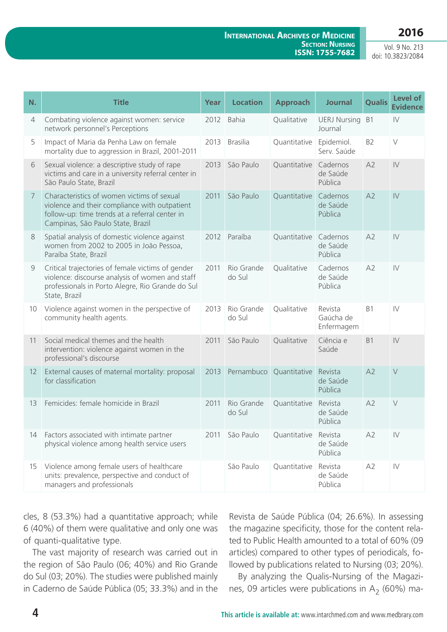#### **International Archives of Medicine SECTION: NURSING ISSN: 1755-7682**

Vol. 9 No. 213 doi: 10.3823/2084

| N. | <b>Title</b>                                                                                                                                                                       | Year | <b>Location</b>      | <b>Approach</b> | <b>Journal</b>                     | <b>Qualis</b>  | <b>Level of</b><br><b>Evidence</b> |
|----|------------------------------------------------------------------------------------------------------------------------------------------------------------------------------------|------|----------------------|-----------------|------------------------------------|----------------|------------------------------------|
| 4  | Combating violence against women: service<br>network personnel's Perceptions                                                                                                       | 2012 | <b>Bahia</b>         | Qualitative     | <b>UERJ Nursing</b><br>Journal     | B <sub>1</sub> | $\mathsf{IV}$                      |
| 5  | Impact of Maria da Penha Law on female<br>mortality due to aggression in Brazil, 2001-2011                                                                                         | 2013 | <b>Brasilia</b>      | Quantitative    | Epidemiol.<br>Serv. Saúde          | B <sub>2</sub> | $\vee$                             |
| 6  | Sexual violence: a descriptive study of rape<br>victims and care in a university referral center in<br>São Paulo State, Brazil                                                     | 2013 | São Paulo            | Quantitative    | Cadernos<br>de Saúde<br>Pública    | A2             | $\mathsf{IV}$                      |
| 7  | Characteristics of women victims of sexual<br>violence and their compliance with outpatient<br>follow-up: time trends at a referral center in<br>Campinas, São Paulo State, Brazil | 2011 | São Paulo            | Quantitative    | Cadernos<br>de Saúde<br>Pública    | A2             | $\mathsf{IV}$                      |
| 8  | Spatial analysis of domestic violence against<br>women from 2002 to 2005 in João Pessoa,<br>Paraíba State, Brazil                                                                  | 2012 | Paraíba              | Quantitative    | Cadernos<br>de Saúde<br>Pública    | A2             | $\mathsf{IV}$                      |
| 9  | Critical trajectories of female victims of gender<br>violence: discourse analysis of women and staff<br>professionals in Porto Alegre, Rio Grande do Sul<br>State, Brazil          | 2011 | Rio Grande<br>do Sul | Qualitative     | Cadernos<br>de Saúde<br>Pública    | A2             | $\mathsf{IV}$                      |
| 10 | Violence against women in the perspective of<br>community health agents.                                                                                                           | 2013 | Rio Grande<br>do Sul | Qualitative     | Revista<br>Gaúcha de<br>Enfermagem | B1             | $\mathsf{IV}$                      |
| 11 | Social medical themes and the health<br>intervention: violence against women in the<br>professional's discourse                                                                    | 2011 | São Paulo            | Qualitative     | Ciência e<br>Saúde                 | <b>B1</b>      | $\mathsf{IV}$                      |
| 12 | External causes of maternal mortality: proposal<br>for classification                                                                                                              | 2013 | Pernambuco           | Quantitative    | Revista<br>de Saúde<br>Pública     | A2             | $\vee$                             |
| 13 | Femicides: female homicide in Brazil                                                                                                                                               | 2011 | Rio Grande<br>do Sul | Quantitative    | Revista<br>de Saúde<br>Pública     | A2             | $\vee$                             |
| 14 | Factors associated with intimate partner<br>physical violence among health service users                                                                                           | 2011 | São Paulo            | Quantitative    | Revista<br>de Saúde<br>Pública     | A2             | $\mathsf{IV}$                      |
| 15 | Violence among female users of healthcare<br>units: prevalence, perspective and conduct of<br>managers and professionals                                                           |      | São Paulo            | Quantitative    | Revista<br>de Saúde<br>Pública     | A2             | $\mathsf{IV}$                      |

cles, 8 (53.3%) had a quantitative approach; while 6 (40%) of them were qualitative and only one was of quanti-qualitative type.

The vast majority of research was carried out in the region of São Paulo (06; 40%) and Rio Grande do Sul (03; 20%). The studies were published mainly in Caderno de Saúde Pública (05; 33.3%) and in the Revista de Saúde Pública (04; 26.6%). In assessing the magazine specificity, those for the content related to Public Health amounted to a total of 60% (09 articles) compared to other types of periodicals, followed by publications related to Nursing (03; 20%).

By analyzing the Qualis-Nursing of the Magazines, 09 articles were publications in  $A_2$  (60%) ma-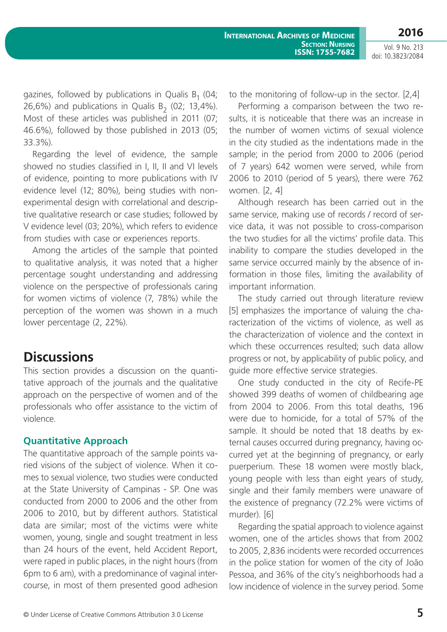gazines, followed by publications in Qualis  $B_1$  (04; 26,6%) and publications in Qualis B<sub>2</sub> (02; 13,4%). Most of these articles was published in 2011 (07; 46.6%), followed by those published in 2013 (05; 33.3%).

Regarding the level of evidence, the sample showed no studies classified in I, II, II and VI levels of evidence, pointing to more publications with IV evidence level (12; 80%), being studies with nonexperimental design with correlational and descriptive qualitative research or case studies; followed by V evidence level (03; 20%), which refers to evidence from studies with case or experiences reports.

Among the articles of the sample that pointed to qualitative analysis, it was noted that a higher percentage sought understanding and addressing violence on the perspective of professionals caring for women victims of violence (7, 78%) while the perception of the women was shown in a much lower percentage (2, 22%).

### **Discussions**

This section provides a discussion on the quantitative approach of the journals and the qualitative approach on the perspective of women and of the professionals who offer assistance to the victim of violence.

#### **Quantitative Approach**

The quantitative approach of the sample points varied visions of the subject of violence. When it comes to sexual violence, two studies were conducted at the State University of Campinas - SP. One was conducted from 2000 to 2006 and the other from 2006 to 2010, but by different authors. Statistical data are similar; most of the victims were white women, young, single and sought treatment in less than 24 hours of the event, held Accident Report, were raped in public places, in the night hours (from 6pm to 6 am), with a predominance of vaginal intercourse, in most of them presented good adhesion to the monitoring of follow-up in the sector. [2,4]

Performing a comparison between the two results, it is noticeable that there was an increase in the number of women victims of sexual violence in the city studied as the indentations made in the sample; in the period from 2000 to 2006 (period of 7 years) 642 women were served, while from 2006 to 2010 (period of 5 years), there were 762 women. [2, 4]

Although research has been carried out in the same service, making use of records / record of service data, it was not possible to cross-comparison the two studies for all the victims' profile data. This inability to compare the studies developed in the same service occurred mainly by the absence of information in those files, limiting the availability of important information.

The study carried out through literature review [5] emphasizes the importance of valuing the characterization of the victims of violence, as well as the characterization of violence and the context in which these occurrences resulted; such data allow progress or not, by applicability of public policy, and guide more effective service strategies.

One study conducted in the city of Recife-PE showed 399 deaths of women of childbearing age from 2004 to 2006. From this total deaths, 196 were due to homicide, for a total of 57% of the sample. It should be noted that 18 deaths by external causes occurred during pregnancy, having occurred yet at the beginning of pregnancy, or early puerperium. These 18 women were mostly black, young people with less than eight years of study, single and their family members were unaware of the existence of pregnancy (72.2% were victims of murder). [6]

Regarding the spatial approach to violence against women, one of the articles shows that from 2002 to 2005, 2,836 incidents were recorded occurrences in the police station for women of the city of João Pessoa, and 36% of the city's neighborhoods had a low incidence of violence in the survey period. Some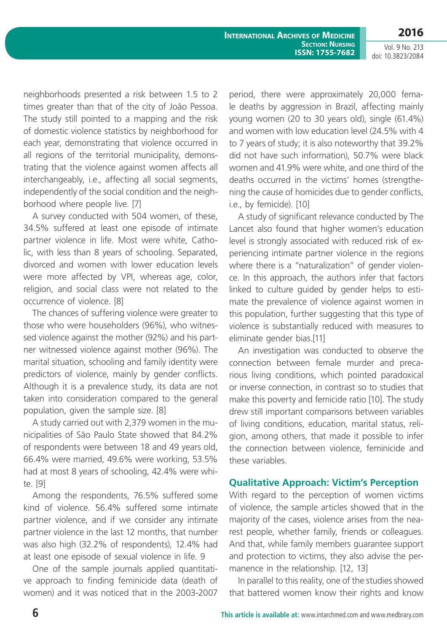neighborhoods presented a risk between 1.5 to 2 times greater than that of the city of João Pessoa. The study still pointed to a mapping and the risk of domestic violence statistics by neighborhood for each year, demonstrating that violence occurred in all regions of the territorial municipality, demonstrating that the violence against women affects all interchangeably, i.e., affecting all social segments, independently of the social condition and the neighborhood where people live. [7]

A survey conducted with 504 women, of these, 34.5% suffered at least one episode of intimate partner violence in life. Most were white, Catholic, with less than 8 years of schooling. Separated, divorced and women with lower education levels were more affected by VPI, whereas age, color, religion, and social class were not related to the occurrence of violence. [8]

The chances of suffering violence were greater to those who were householders (96%), who witnessed violence against the mother (92%) and his partner witnessed violence against mother (96%). The marital situation, schooling and family identity were predictors of violence, mainly by gender conflicts. Although it is a prevalence study, its data are not taken into consideration compared to the general population, given the sample size. [8]

A study carried out with 2,379 women in the municipalities of São Paulo State showed that 84.2% of respondents were between 18 and 49 years old, 66.4% were married, 49.6% were working, 53.5% had at most 8 years of schooling, 42.4% were white. [9]

Among the respondents, 76.5% suffered some kind of violence. 56.4% suffered some intimate partner violence, and if we consider any intimate partner violence in the last 12 months, that number was also high (32.2% of respondents), 12.4% had at least one episode of sexual violence in life. 9

One of the sample journals applied quantitative approach to finding feminicide data (death of women) and it was noticed that in the 2003-2007

period, there were approximately 20,000 female deaths by aggression in Brazil, affecting mainly young women (20 to 30 years old), single (61.4%) and women with low education level (24.5% with 4 to 7 years of study; it is also noteworthy that 39.2% did not have such information), 50.7% were black women and 41.9% were white, and one third of the deaths occurred in the victims' homes (strengthening the cause of homicides due to gender conflicts, i.e., by femicide). [10]

A study of significant relevance conducted by The Lancet also found that higher women's education level is strongly associated with reduced risk of experiencing intimate partner violence in the regions where there is a "naturalization" of gender violence. In this approach, the authors infer that factors linked to culture guided by gender helps to estimate the prevalence of violence against women in this population, further suggesting that this type of violence is substantially reduced with measures to eliminate gender bias.[11]

An investigation was conducted to observe the connection between female murder and precarious living conditions, which pointed paradoxical or inverse connection, in contrast so to studies that make this poverty and femicide ratio [10]. The study drew still important comparisons between variables of living conditions, education, marital status, religion, among others, that made it possible to infer the connection between violence, feminicide and these variables.

#### **Qualitative Approach: Victim's Perception**

With regard to the perception of women victims of violence, the sample articles showed that in the majority of the cases, violence arises from the nearest people, whether family, friends or colleagues. And that, while family members guarantee support and protection to victims, they also advise the permanence in the relationship. [12, 13]

In parallel to this reality, one of the studies showed that battered women know their rights and know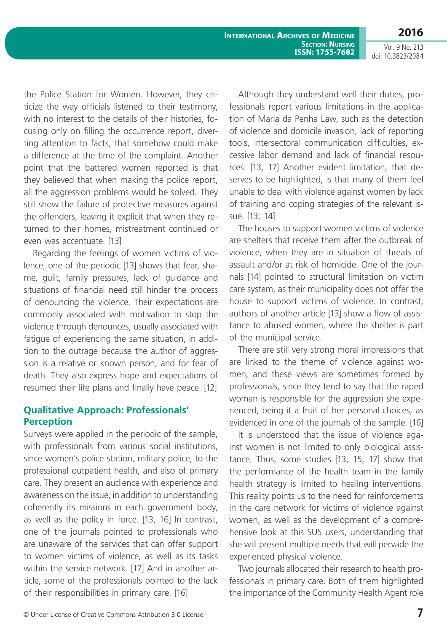**2016**

the Police Station for Women. However, they criticize the way officials listened to their testimony, with no interest to the details of their histories, focusing only on filling the occurrence report, diverting attention to facts, that somehow could make a difference at the time of the complaint. Another point that the battered women reported is that they believed that when making the police report, all the aggression problems would be solved. They still show the failure of protective measures against the offenders, leaving it explicit that when they returned to their homes, mistreatment continued or even was accentuate. [13]

Regarding the feelings of women victims of violence, one of the periodic [13] shows that fear, shame, guilt, family pressures, lack of guidance and situations of financial need still hinder the process of denouncing the violence. Their expectations are commonly associated with motivation to stop the violence through denounces, usually associated with fatigue of experiencing the same situation, in addition to the outrage because the author of aggression is a relative or known person, and for fear of death. They also express hope and expectations of resumed their life plans and finally have peace. [12]

#### **Qualitative Approach: Professionals' Perception**

Surveys were applied in the periodic of the sample, with professionals from various social institutions, since women's police station, military police, to the professional outpatient health, and also of primary care. They present an audience with experience and awareness on the issue, in addition to understanding coherently its missions in each government body, as well as the policy in force. [13, 16] In contrast, one of the journals pointed to professionals who are unaware of the services that can offer support to women victims of violence, as well as its tasks within the service network. [17] And in another article, some of the professionals pointed to the lack of their responsibilities in primary care. [16]

Although they understand well their duties, professionals report various limitations in the application of Maria da Penha Law, such as the detection of violence and domicile invasion, lack of reporting tools, intersectoral communication difficulties, excessive labor demand and lack of financial resources. [13, 17] Another evident limitation, that deserves to be highlighted, is that many of them feel unable to deal with violence against women by lack of training and coping strategies of the relevant issue. [13, 14]

The houses to support women victims of violence are shelters that receive them after the outbreak of violence, when they are in situation of threats of assault and/or at risk of homicide. One of the journals [14] pointed to structural limitation on victim care system, as their municipality does not offer the house to support victims of violence. In contrast, authors of another article [13] show a flow of assistance to abused women, where the shelter is part of the municipal service.

There are still very strong moral impressions that are linked to the theme of violence against women, and these views are sometimes formed by professionals, since they tend to say that the raped woman is responsible for the aggression she experienced, being it a fruit of her personal choices, as evidenced in one of the journals of the sample. [16]

It is understood that the issue of violence against women is not limited to only biological assistance. Thus, some studies [13, 15, 17] show that the performance of the health team in the family health strategy is limited to healing interventions. This reality points us to the need for reinforcements in the care network for victims of violence against women, as well as the development of a comprehensive look at this SUS users, understanding that she will present multiple needs that will pervade the experienced physical violence.

Two journals allocated their research to health professionals in primary care. Both of them highlighted the importance of the Community Health Agent role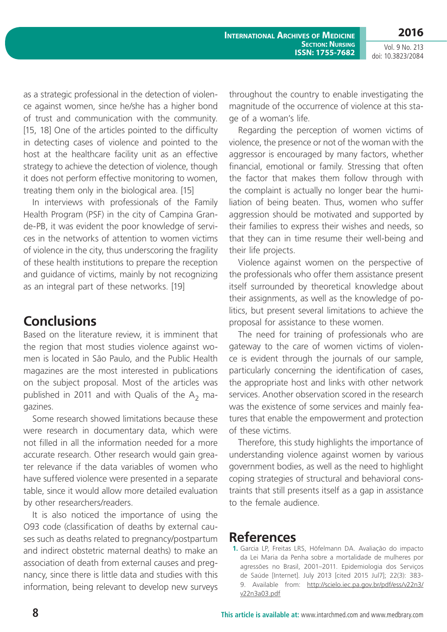as a strategic professional in the detection of violence against women, since he/she has a higher bond of trust and communication with the community. [15, 18] One of the articles pointed to the difficulty in detecting cases of violence and pointed to the host at the healthcare facility unit as an effective strategy to achieve the detection of violence, though it does not perform effective monitoring to women, treating them only in the biological area. [15]

In interviews with professionals of the Family Health Program (PSF) in the city of Campina Grande-PB, it was evident the poor knowledge of services in the networks of attention to women victims of violence in the city, thus underscoring the fragility of these health institutions to prepare the reception and guidance of victims, mainly by not recognizing as an integral part of these networks. [19]

# **Conclusions**

Based on the literature review, it is imminent that the region that most studies violence against women is located in São Paulo, and the Public Health magazines are the most interested in publications on the subject proposal. Most of the articles was published in 2011 and with Qualis of the  $A_2$  magazines.

Some research showed limitations because these were research in documentary data, which were not filled in all the information needed for a more accurate research. Other research would gain greater relevance if the data variables of women who have suffered violence were presented in a separate table, since it would allow more detailed evaluation by other researchers/readers.

It is also noticed the importance of using the O93 code (classification of deaths by external causes such as deaths related to pregnancy/postpartum and indirect obstetric maternal deaths) to make an association of death from external causes and pregnancy, since there is little data and studies with this information, being relevant to develop new surveys throughout the country to enable investigating the magnitude of the occurrence of violence at this stage of a woman's life.

Regarding the perception of women victims of violence, the presence or not of the woman with the aggressor is encouraged by many factors, whether financial, emotional or family. Stressing that often the factor that makes them follow through with the complaint is actually no longer bear the humiliation of being beaten. Thus, women who suffer aggression should be motivated and supported by their families to express their wishes and needs, so that they can in time resume their well-being and their life projects.

Violence against women on the perspective of the professionals who offer them assistance present itself surrounded by theoretical knowledge about their assignments, as well as the knowledge of politics, but present several limitations to achieve the proposal for assistance to these women.

The need for training of professionals who are gateway to the care of women victims of violence is evident through the journals of our sample, particularly concerning the identification of cases, the appropriate host and links with other network services. Another observation scored in the research was the existence of some services and mainly features that enable the empowerment and protection of these victims.

Therefore, this study highlights the importance of understanding violence against women by various government bodies, as well as the need to highlight coping strategies of structural and behavioral constraints that still presents itself as a gap in assistance to the female audience.

### **References**

**1.** Garcia LP, Freitas LRS, Höfelmann DA. Avaliação do impacto da Lei Maria da Penha sobre a mortalidade de mulheres por agressões no Brasil, 2001–2011. Epidemiologia dos Serviços de Saúde [Internet]. July 2013 [cited 2015 Jul7]; 22(3): 383- 9. Available from: http://scielo.iec.pa.gov.br/pdf/ess/v22n3/ v22n3a03.pdf